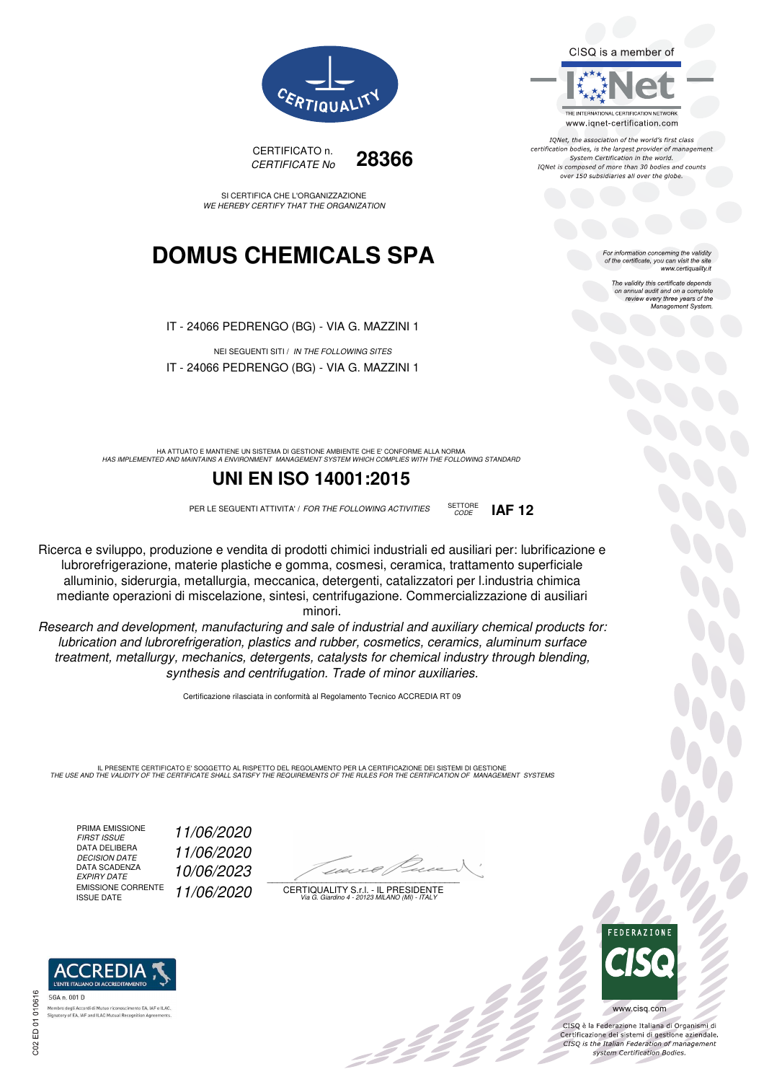CISQ is a member of



IQNet, the association of the world's first class certification bodies, is the largest provider of management System Certification in the world. IONet is composed of more than 30 bodies and counts over 150 subsidiaries all over the globe.

*CODE* **IAF 12**

or information concerning the validity of the certificate, you can visit the site www.certiquality.it

> The validity this certificate depends The validity this certificate depends<br>on annual audit and on a complete<br>review every three years of the<br>Management System.



CERTIFICATO n. *CERTIFICATE No* **28366**

SI CERTIFICA CHE L'ORGANIZZAZIONE *WE HEREBY CERTIFY THAT THE ORGANIZATION*

## **DOMUS CHEMICALS SPA**

IT - 24066 PEDRENGO (BG) - VIA G. MAZZINI 1

NEI SEGUENTI SITI / *IN THE FOLLOWING SITES* IT - 24066 PEDRENGO (BG) - VIA G. MAZZINI 1

HA ATTUATO E MANTIENE UN SISTEMA DI GESTIONE AMBIENTE CHE E' CONFORME ALLA NORMA<br>HAS IMPLEMENTED AND MAINTAINS A ENVIRONMENT MANAGEMENT SYSTEM WHICH COMPLIES WITH THE FOLLOWING STANDARD

### **UNI EN ISO 14001:2015**

PER LE SEGUENTI ATTIVITA' / *FOR THE FOLLOWING ACTIVITIES* SETTORE

Ricerca e sviluppo, produzione e vendita di prodotti chimici industriali ed ausiliari per: lubrificazione e lubrorefrigerazione, materie plastiche e gomma, cosmesi, ceramica, trattamento superficiale alluminio, siderurgia, metallurgia, meccanica, detergenti, catalizzatori per l.industria chimica mediante operazioni di miscelazione, sintesi, centrifugazione. Commercializzazione di ausiliari minori.

*Research and development, manufacturing and sale of industrial and auxiliary chemical products for: lubrication and lubrorefrigeration, plastics and rubber, cosmetics, ceramics, aluminum surface treatment, metallurgy, mechanics, detergents, catalysts for chemical industry through blending, synthesis and centrifugation. Trade of minor auxiliaries.*

Certificazione rilasciata in conformità al Regolamento Tecnico ACCREDIA RT 09

IL PRESENTE CERTIFICATO E' SOGGETTO AL RISPETTO DEL REGOLAMENTO PER LA CERTIFICAZIONE DEI SISTEMI DI GESTIONE<br>THE USE AND THE VALIDITY OF THE CERTIFICATE SHALL SATISFY THE REQUIREMENTS OF THE RULES FOR THE CERTIFICATION OF

PRIMA EMISSIONE<br>FIRST ISSUE DATA DELIBERA<br>DECISION DATE DATA SCADENZA<br>EXPIRY DATE EMISSIONE CORRENTE<br>ISSUE DATE

*FIRST ISSUE 11/06/2020 DECISION DATE 11/06/2020 EXPIRY DATE 10/06/2023* ISSUE DATE *11/06/2020*

 $\overline{\phantom{a}}$ 

CERTIQUALITY S.r.l. - IL PRESIDENTE *Via G. Giardino 4 - 20123 MILANO (MI) - ITALY*



 $\frac{1}{2}$ 

www.cisq.com

CISO è la Federazione Italiana di Organismi di CISQ e la regerazione italiana di Organismi di<br>Certificazione dei sistemi di gestione aziendale.<br>CISQ is the Italian Federation of management system Certification Bodies.